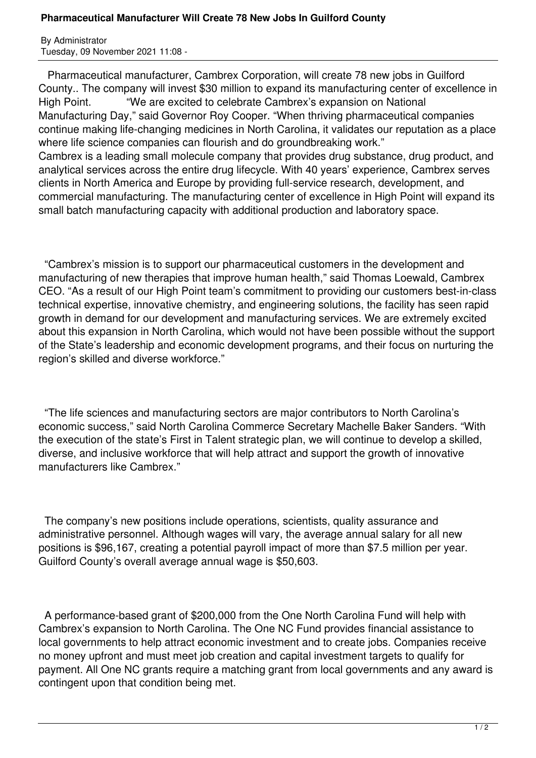## **Pharmaceutical Manufacturer Will Create 78 New Jobs In Guilford County**

By Administrator Tuesday, 09 November 2021 11:08 -

 Pharmaceutical manufacturer, Cambrex Corporation, will create 78 new jobs in Guilford County.. The company will invest \$30 million to expand its manufacturing center of excellence in High Point. "We are excited to celebrate Cambrex's expansion on National Manufacturing Day," said Governor Roy Cooper. "When thriving pharmaceutical companies continue making life-changing medicines in North Carolina, it validates our reputation as a place where life science companies can flourish and do groundbreaking work." Cambrex is a leading small molecule company that provides drug substance, drug product, and analytical services across the entire drug lifecycle. With 40 years' experience, Cambrex serves clients in North America and Europe by providing full-service research, development, and commercial manufacturing. The manufacturing center of excellence in High Point will expand its small batch manufacturing capacity with additional production and laboratory space.

 "Cambrex's mission is to support our pharmaceutical customers in the development and manufacturing of new therapies that improve human health," said Thomas Loewald, Cambrex CEO. "As a result of our High Point team's commitment to providing our customers best-in-class technical expertise, innovative chemistry, and engineering solutions, the facility has seen rapid growth in demand for our development and manufacturing services. We are extremely excited about this expansion in North Carolina, which would not have been possible without the support of the State's leadership and economic development programs, and their focus on nurturing the region's skilled and diverse workforce."

 "The life sciences and manufacturing sectors are major contributors to North Carolina's economic success," said North Carolina Commerce Secretary Machelle Baker Sanders. "With the execution of the state's First in Talent strategic plan, we will continue to develop a skilled, diverse, and inclusive workforce that will help attract and support the growth of innovative manufacturers like Cambrex."

 The company's new positions include operations, scientists, quality assurance and administrative personnel. Although wages will vary, the average annual salary for all new positions is \$96,167, creating a potential payroll impact of more than \$7.5 million per year. Guilford County's overall average annual wage is \$50,603.

 A performance-based grant of \$200,000 from the One North Carolina Fund will help with Cambrex's expansion to North Carolina. The One NC Fund provides financial assistance to local governments to help attract economic investment and to create jobs. Companies receive no money upfront and must meet job creation and capital investment targets to qualify for payment. All One NC grants require a matching grant from local governments and any award is contingent upon that condition being met.